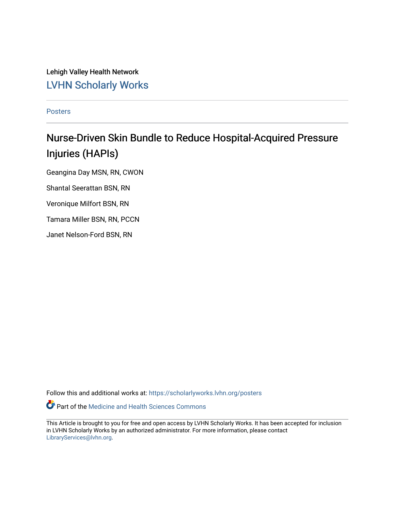Lehigh Valley Health Network [LVHN Scholarly Works](https://scholarlyworks.lvhn.org/)

[Posters](https://scholarlyworks.lvhn.org/posters) 

#### Nurse-Driven Skin Bundle to Reduce Hospital-Acquired Pressure Injuries (HAPIs)

Geangina Day MSN, RN, CWON

Shantal Seerattan BSN, RN

Veronique Milfort BSN, RN

Tamara Miller BSN, RN, PCCN

Janet Nelson-Ford BSN, RN

Follow this and additional works at: [https://scholarlyworks.lvhn.org/posters](https://scholarlyworks.lvhn.org/posters?utm_source=scholarlyworks.lvhn.org%2Fposters%2F30&utm_medium=PDF&utm_campaign=PDFCoverPages) 

Part of the [Medicine and Health Sciences Commons](http://network.bepress.com/hgg/discipline/648?utm_source=scholarlyworks.lvhn.org%2Fposters%2F30&utm_medium=PDF&utm_campaign=PDFCoverPages) 

This Article is brought to you for free and open access by LVHN Scholarly Works. It has been accepted for inclusion in LVHN Scholarly Works by an authorized administrator. For more information, please contact [LibraryServices@lvhn.org](mailto:LibraryServices@lvhn.org).